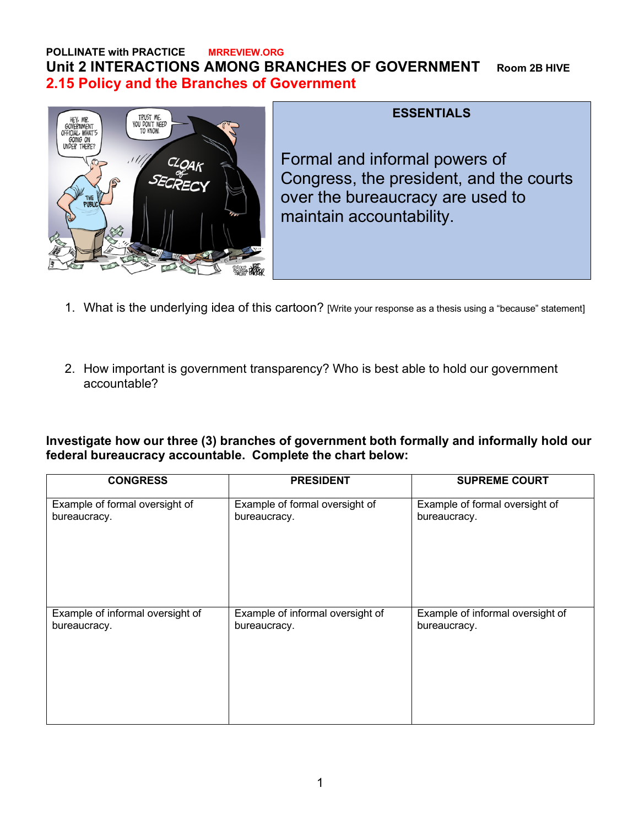## **POLLINATE with PRACTICE MRREVIEW.ORG Unit 2 INTERACTIONS AMONG BRANCHES OF GOVERNMENT Room 2B HIVE 2.15 Policy and the Branches of Government**



## **ESSENTIALS**

Formal and informal powers of Congress, the president, and the courts over the bureaucracy are used to maintain accountability.

- 1. What is the underlying idea of this cartoon? [Write your response as a thesis using a "because" statement]
- 2. How important is government transparency? Who is best able to hold our government accountable?

**Investigate how our three (3) branches of government both formally and informally hold our federal bureaucracy accountable. Complete the chart below:**

| <b>CONGRESS</b>                  | <b>PRESIDENT</b>                 | <b>SUPREME COURT</b>             |
|----------------------------------|----------------------------------|----------------------------------|
| Example of formal oversight of   | Example of formal oversight of   | Example of formal oversight of   |
| bureaucracy.                     | bureaucracy.                     | bureaucracy.                     |
| Example of informal oversight of | Example of informal oversight of | Example of informal oversight of |
| bureaucracy.                     | bureaucracy.                     | bureaucracy.                     |